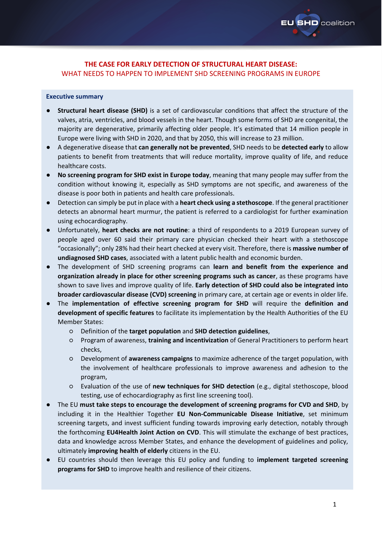

# **THE CASE FOR EARLY DETECTION OF STRUCTURAL HEART DISEASE:** WHAT NEEDS TO HAPPEN TO IMPLEMENT SHD SCREENING PROGRAMS IN EUROPE

### **Executive summary**

- **Structural heart disease (SHD)** is a set of cardiovascular conditions that affect the structure of the valves, atria, ventricles, and blood vessels in the heart. Though some forms of SHD are congenital, the majority are degenerative, primarily affecting older people. It's estimated that 14 million people in Europe were living with SHD in 2020, and that by 2050, this will increase to 23 million.
- A degenerative disease that **can generally not be prevented**, SHD needs to be **detected early** to allow patients to benefit from treatments that will reduce mortality, improve quality of life, and reduce healthcare costs.
- **No screening program for SHD exist in Europe today**, meaning that many people may suffer from the condition without knowing it, especially as SHD symptoms are not specific, and awareness of the disease is poor both in patients and health care professionals.
- Detection can simply be put in place with a **heart check using a stethoscope**. If the general practitioner detects an abnormal heart murmur, the patient is referred to a cardiologist for further examination using echocardiography.
- Unfortunately, **heart checks are not routine**: a third of respondents to a 2019 European survey of people aged over 60 said their primary care physician checked their heart with a stethoscope "occasionally"; only 28% had their heart checked at every visit. Therefore, there is **massive number of undiagnosed SHD cases**, associated with a latent public health and economic burden.
- The development of SHD screening programs can learn and benefit from the experience and **organization already in place for other screening programs such as cancer**, as these programs have shown to save lives and improve quality of life. **Early detection of SHD could also be integrated into broader cardiovascular disease (CVD) screening** in primary care, at certain age or events in older life.
- The **implementation of effective screening program for SHD** will require the **definition and development of specific features** to facilitate its implementation by the Health Authorities of the EU Member States:
	- Definition of the **target population** and **SHD detection guidelines**,
	- Program of awareness, **training and incentivization** of General Practitioners to perform heart checks,
	- Development of **awareness campaigns** to maximize adherence of the target population, with the involvement of healthcare professionals to improve awareness and adhesion to the program,
	- Evaluation of the use of **new techniques for SHD detection** (e.g., digital stethoscope, blood testing, use of echocardiography as first line screening tool).
- The EU **must take steps to encourage the development of screening programs for CVD and SHD**, by including it in the Healthier Together **EU Non-Communicable Disease Initiative**, set minimum screening targets, and invest sufficient funding towards improving early detection, notably through the forthcoming **EU4Health Joint Action on CVD**. This will stimulate the exchange of best practices, data and knowledge across Member States, and enhance the development of guidelines and policy, ultimately **improving health of elderly** citizens in the EU.
- EU countries should then leverage this EU policy and funding to **implement targeted screening programs for SHD** to improve health and resilience of their citizens.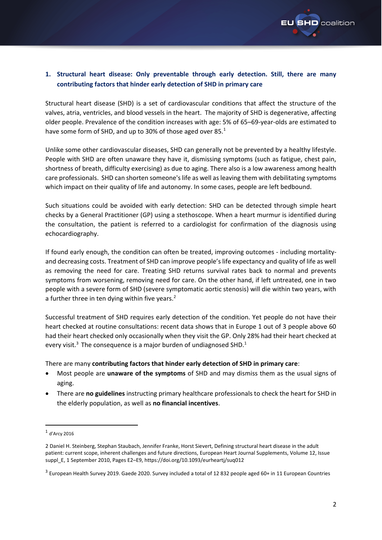<span id="page-1-0"></span>

# **1. Structural heart disease: Only preventable through early detection. Still, there are many contributing factors that hinder early detection of SHD in primary care**

Structural heart disease (SHD) is a set of cardiovascular conditions that affect the structure of the valves, atria, ventricles, and blood vessels in the heart. The majority of SHD is degenerative, affecting older people. Prevalence of the condition increases with age: 5% of 65–69-year-olds are estimated to have some form of SHD, and up to 30% of those aged over 85.<sup>1</sup>

Unlike some other cardiovascular diseases, SHD can generally not be prevented by a healthy lifestyle. People with SHD are often unaware they have it, dismissing symptoms (such as fatigue, chest pain, shortness of breath, difficulty exercising) as due to aging. There also is a low awareness among health care professionals. SHD can shorten someone's life as well as leaving them with debilitating symptoms which impact on their quality of life and autonomy. In some cases, people are left bedbound.

Such situations could be avoided with early detection: SHD can be detected through simple heart checks by a General Practitioner (GP) using a stethoscope. When a heart murmur is identified during the consultation, the patient is referred to a cardiologist for confirmation of the diagnosis using echocardiography.

If found early enough, the condition can often be treated, improving outcomes - including mortalityand decreasing costs. Treatment of SHD can improve people's life expectancy and quality of life as well as removing the need for care. Treating SHD returns survival rates back to normal and prevents symptoms from worsening, removing need for care. On the other hand, if left untreated, one in two people with a severe form of SHD (severe symptomatic aortic stenosis) will die within two years, with a further three in ten dying within five years.<sup>2</sup>

Successful treatment of SHD requires early detection of the condition. Yet people do not have their heart checked at routine consultations: recent data shows that in Europe 1 out of 3 people above 60 had their heart checked only occasionally when they visit the GP. Only 28% had their heart checked at every visit.<sup>3</sup> The consequence is a major burden of undiagnosed SHD.<sup>[1](#page-1-0)</sup>

There are many **contributing factors that hinder early detection of SHD in primary care**:

- Most people are **unaware of the symptoms** of SHD and may dismiss them as the usual signs of aging.
- There are **no guidelines** instructing primary healthcare professionals to check the heart for SHD in the elderly population, as well as **no financial incentives**.

 $<sup>1</sup>$  d'Arcy 2016</sup>

<sup>2</sup> Daniel H. Steinberg, Stephan Staubach, Jennifer Franke, Horst Sievert, Defining structural heart disease in the adult patient: current scope, inherent challenges and future directions, European Heart Journal Supplements, Volume 12, Issue suppl\_E, 1 September 2010, Pages E2–E9, <https://doi.org/10.1093/eurheartj/suq012>

<sup>&</sup>lt;sup>3</sup> European Health Survey 2019. Gaede 2020. Survey included a total of 12 832 people aged 60+ in 11 European Countries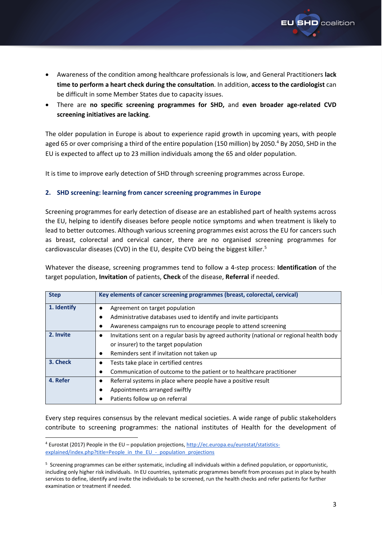

- Awareness of the condition among healthcare professionals is low, and General Practitioners **lack time to perform a heart check during the consultation**. In addition, **access to the cardiologist** can be difficult in some Member States due to capacity issues.
- There are **no specific screening programmes for SHD,** and **even broader age-related CVD screening initiatives are lacking**.

The older population in Europe is about to experience rapid growth in upcoming years, with people aged 65 or over comprising a third of the entire population (150 million) by 2050.<sup>4</sup> By 2050, SHD in the EU is expected to affect up to 23 million individuals among the 65 and older population.

It is time to improve early detection of SHD through screening programmes across Europe.

## **2. SHD screening: learning from cancer screening programmes in Europe**

Screening programmes for early detection of disease are an established part of health systems across the EU, helping to identify diseases before people notice symptoms and when treatment is likely to lead to better outcomes. Although various screening programmes exist across the EU for cancers such as breast, colorectal and cervical cancer, there are no organised screening programmes for cardiovascular diseases (CVD) in the EU, despite CVD being the biggest killer.<sup>5</sup>

Whatever the disease, screening programmes tend to follow a 4-step process: **Identification** of the target population, **Invitation** of patients, **Check** of the disease, **Referral** if needed.

| <b>Step</b> | Key elements of cancer screening programmes (breast, colorectal, cervical)                             |  |
|-------------|--------------------------------------------------------------------------------------------------------|--|
| 1. Identify | Agreement on target population                                                                         |  |
|             | Administrative databases used to identify and invite participants                                      |  |
|             | Awareness campaigns run to encourage people to attend screening<br>٠                                   |  |
| 2. Invite   | Invitations sent on a regular basis by agreed authority (national or regional health body<br>$\bullet$ |  |
|             | or insurer) to the target population                                                                   |  |
|             | Reminders sent if invitation not taken up<br>$\bullet$                                                 |  |
| 3. Check    | Tests take place in certified centres                                                                  |  |
|             | Communication of outcome to the patient or to healthcare practitioner<br>$\bullet$                     |  |
| 4. Refer    | Referral systems in place where people have a positive result<br>٠                                     |  |
|             | Appointments arranged swiftly                                                                          |  |
|             | Patients follow up on referral                                                                         |  |

Every step requires consensus by the relevant medical societies. A wide range of public stakeholders contribute to screening programmes: the national institutes of Health for the development of

<sup>4</sup> Eurostat (2017) People in the EU – population projections, [http://ec.europa.eu/eurostat/statistics](http://ec.europa.eu/eurostat/statistics-explained/index.php?title=People_in_the_EU_-_population_projections)[explained/index.php?title=People\\_in\\_the\\_EU\\_-\\_population\\_projections](http://ec.europa.eu/eurostat/statistics-explained/index.php?title=People_in_the_EU_-_population_projections)

<sup>5</sup> Screening programmes can be either systematic, including all individuals within a defined population, or opportunistic, including only higher risk individuals. In EU countries, systematic programmes benefit from processes put in place by health services to define, identify and invite the individuals to be screened, run the health checks and refer patients for further examination or treatment if needed.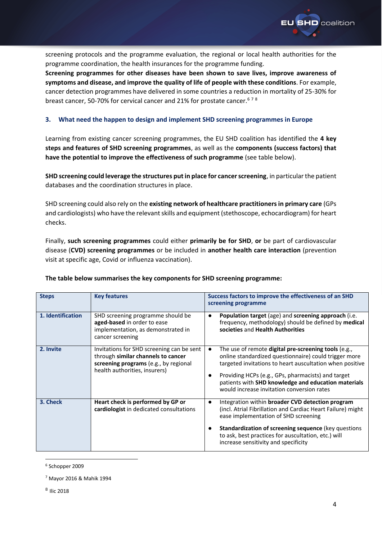

screening protocols and the programme evaluation, the regional or local health authorities for the programme coordination, the health insurances for the programme funding.

**Screening programmes for other diseases have been shown to save lives, improve awareness of symptoms and disease, and improve the quality of life of people with these conditions**. For example, cancer detection programmes have delivered in some countries a reduction in mortality of 25-30% for breast cancer, 50-70% for cervical cancer and 21% for prostate cancer.<sup>678</sup>

### **3. What need the happen to design and implement SHD screening programmes in Europe**

Learning from existing cancer screening programmes, the EU SHD coalition has identified the **4 key steps and features of SHD screening programmes**, as well as the **components (success factors) that have the potential to improve the effectiveness of such programme** (see table below).

**SHD screening could leverage the structures put in place for cancer screening**, in particular the patient databases and the coordination structures in place.

SHD screening could also rely on the **existing network of healthcare practitioners in primary care** (GPs and cardiologists) who have the relevant skills and equipment (stethoscope, echocardiogram) for heart checks.

Finally, **such screening programmes** could either **primarily be for SHD**, **or** be part of cardiovascular disease (**CVD) screening programmes** or be included in **another health care interaction** (prevention visit at specific age, Covid or influenza vaccination).

| <b>Steps</b>      | <b>Key features</b>                                                                                                                                       | Success factors to improve the effectiveness of an SHD<br>screening programme                                                                                                                                                                                                                                                               |
|-------------------|-----------------------------------------------------------------------------------------------------------------------------------------------------------|---------------------------------------------------------------------------------------------------------------------------------------------------------------------------------------------------------------------------------------------------------------------------------------------------------------------------------------------|
| 1. Identification | SHD screening programme should be<br>aged-based in order to ease<br>implementation, as demonstrated in<br>cancer screening                                | Population target (age) and screening approach (i.e.<br>$\bullet$<br>frequency, methodology) should be defined by medical<br>societies and Health Authorities                                                                                                                                                                               |
| 2. Invite         | Invitations for SHD screening can be sent<br>through similar channels to cancer<br>screening programs (e.g., by regional<br>health authorities, insurers) | The use of remote <b>digital pre-screening tools</b> (e.g.,<br>online standardized questionnaire) could trigger more<br>targeted invitations to heart auscultation when positive<br>Providing HCPs (e.g., GPs, pharmacists) and target<br>patients with SHD knowledge and education materials<br>would increase invitation conversion rates |
| 3. Check          | Heart check is performed by GP or<br>cardiologist in dedicated consultations                                                                              | Integration within broader CVD detection program<br>$\bullet$<br>(incl. Atrial Fibrillation and Cardiac Heart Failure) might<br>ease implementation of SHD screening<br>Standardization of screening sequence (key questions<br>to ask, best practices for auscultation, etc.) will<br>increase sensitivity and specificity                 |

#### **The table below summarises the key components for SHD screening programme:**

<sup>6</sup> Schopper 2009

<sup>7</sup> Mayor 2016 & Mahik 1994

<sup>&</sup>lt;sup>8</sup> Ilic 2018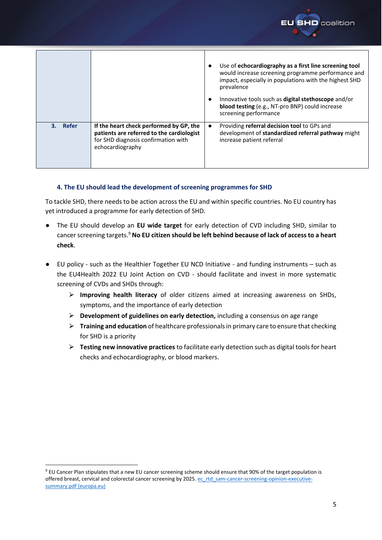

# **4. The EU should lead the development of screening programmes for SHD**

To tackle SHD, there needs to be action across the EU and within specific countries. No EU country has yet introduced a programme for early detection of SHD.

- The EU should develop an **EU wide target** for early detection of CVD including SHD, similar to cancer screening targets.<sup>9</sup> **No EU citizen should be left behind because of lack of access to a heart check**.
- EU policy such as the Healthier Together EU NCD Initiative and funding instruments such as the EU4Health 2022 EU Joint Action on CVD - should facilitate and invest in more systematic screening of CVDs and SHDs through:
	- ⮚ **Improving health literacy** of older citizens aimed at increasing awareness on SHDs, symptoms, and the importance of early detection
	- ⮚ **Development of guidelines on early detection,** including a consensus on age range
	- ⮚ **Training and education** of healthcare professionals in primary care to ensure that checking for SHD is a priority
	- ⮚ **Testing new innovative practices** to facilitate early detection such as digital tools for heart checks and echocardiography, or blood markers.

**D** coalition

<sup>9</sup> EU Cancer Plan stipulates that a new EU cancer screening scheme should ensure that 90% of the target population is offered breast, cervical and colorectal cancer screening by 2025[. ec\\_rtd\\_sam-cancer-screening-opinion-executive](https://ec.europa.eu/info/sites/default/files/research_and_innovation/groups/sam/ec_rtd_sam-cancer-screening-opinion-executive-summary.pdf)[summary.pdf \(europa.eu\)](https://ec.europa.eu/info/sites/default/files/research_and_innovation/groups/sam/ec_rtd_sam-cancer-screening-opinion-executive-summary.pdf)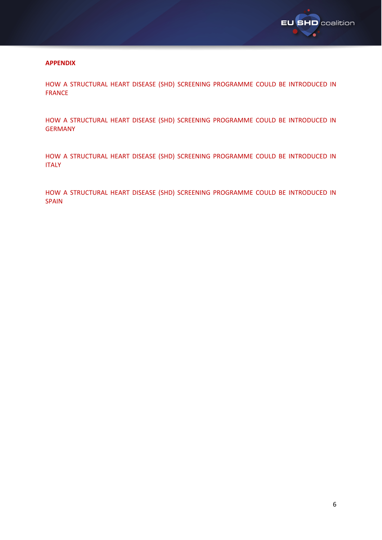

### **APPENDIX**

HOW A STRUCTURAL HEART DISEASE (SHD) SCREENING PROGRAMME COULD BE INTRODUCED IN FRANCE

HOW A STRUCTURAL HEART DISEASE (SHD) SCREENING PROGRAMME COULD BE INTRODUCED IN GERMANY

HOW A STRUCTURAL HEART DISEASE (SHD) SCREENING PROGRAMME COULD BE INTRODUCED IN ITALY

HOW A STRUCTURAL HEART DISEASE (SHD) SCREENING PROGRAMME COULD BE INTRODUCED IN SPAIN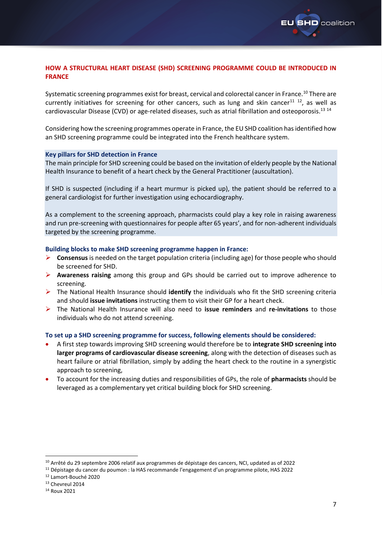

## **HOW A STRUCTURAL HEART DISEASE (SHD) SCREENING PROGRAMME COULD BE INTRODUCED IN FRANCE**

Systematic screening programmes exist for breast, cervical and colorectal cancer in France.<sup>10</sup> There are currently initiatives for screening for other cancers, such as lung and skin cancer<sup>11 12</sup>, as well as cardiovascular Disease (CVD) or age-related diseases, such as atrial fibrillation and osteoporosis.<sup>13 14</sup>

Considering how the screening programmes operate in France, the EU SHD coalition has identified how an SHD screening programme could be integrated into the French healthcare system.

#### **Key pillars for SHD detection in France**

The main principle for SHD screening could be based on the invitation of elderly people by the National Health Insurance to benefit of a heart check by the General Practitioner (auscultation).

If SHD is suspected (including if a heart murmur is picked up), the patient should be referred to a general cardiologist for further investigation using echocardiography.

As a complement to the screening approach, pharmacists could play a key role in raising awareness and run pre-screening with questionnaires for people after 65 years', and for non-adherent individuals targeted by the screening programme.

#### **Building blocks to make SHD screening programme happen in France:**

- ➢ **Consensus** is needed on the target population criteria (including age) for those people who should be screened for SHD.
- ➢ **Awareness raising** among this group and GPs should be carried out to improve adherence to screening.
- ➢ The National Health Insurance should **identify** the individuals who fit the SHD screening criteria and should **issue invitations** instructing them to visit their GP for a heart check.
- ➢ The National Health Insurance will also need to **issue reminders** and **re-invitations** to those individuals who do not attend screening.

#### **To set up a SHD screening programme for success, following elements should be considered:**

- A first step towards improving SHD screening would therefore be to **integrate SHD screening into larger programs of cardiovascular disease screening**, along with the detection of diseases such as heart failure or atrial fibrillation, simply by adding the heart check to the routine in a synergistic approach to screening,
- To account for the increasing duties and responsibilities of GPs, the role of **pharmacists** should be leveraged as a complementary yet critical building block for SHD screening.

<sup>&</sup>lt;sup>10</sup> Arrêté du 29 septembre 2006 relatif aux programmes de dépistage des cancers, NCI, updated as of 2022

<sup>11</sup> Dépistage du cancer du poumon : la HAS recommande l'engagement d'un programme pilote, HAS 2022

<sup>12</sup> Lamort-Bouché 2020

<sup>&</sup>lt;sup>13</sup> Chevreul 2014

<sup>14</sup> Roux 2021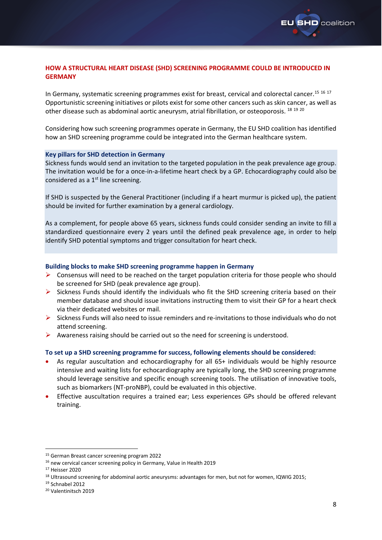

# **HOW A STRUCTURAL HEART DISEASE (SHD) SCREENING PROGRAMME COULD BE INTRODUCED IN GERMANY**

In Germany, systematic screening programmes exist for breast, cervical and colorectal cancer.<sup>15 16 17</sup> Opportunistic screening initiatives or pilots exist for some other cancers such as skin cancer, as well as other disease such as abdominal aortic aneurysm, atrial fibrillation, or osteoporosis. <sup>18</sup> <sup>19</sup> <sup>20</sup>

Considering how such screening programmes operate in Germany, the EU SHD coalition has identified how an SHD screening programme could be integrated into the German healthcare system.

#### **Key pillars for SHD detection in Germany**

Sickness funds would send an invitation to the targeted population in the peak prevalence age group. The invitation would be for a once-in-a-lifetime heart check by a GP. Echocardiography could also be considered as a  $1<sup>st</sup>$  line screening.

If SHD is suspected by the General Practitioner (including if a heart murmur is picked up), the patient should be invited for further examination by a general cardiology.

As a complement, for people above 65 years, sickness funds could consider sending an invite to fill a standardized questionnaire every 2 years until the defined peak prevalence age, in order to help identify SHD potential symptoms and trigger consultation for heart check.

### **Building blocks to make SHD screening programme happen in Germany**

- $\triangleright$  Consensus will need to be reached on the target population criteria for those people who should be screened for SHD (peak prevalence age group).
- $\triangleright$  Sickness Funds should identify the individuals who fit the SHD screening criteria based on their member database and should issue invitations instructing them to visit their GP for a heart check via their dedicated websites or mail.
- ➢ Sickness Funds will also need to issue reminders and re-invitations to those individuals who do not attend screening.
- $\triangleright$  Awareness raising should be carried out so the need for screening is understood.

### **To set up a SHD screening programme for success, following elements should be considered:**

- As regular auscultation and echocardiography for all 65+ individuals would be highly resource intensive and waiting lists for echocardiography are typically long, the SHD screening programme should leverage sensitive and specific enough screening tools. The utilisation of innovative tools, such as biomarkers (NT-proNBP), could be evaluated in this objective.
- Effective auscultation requires a trained ear; Less experiences GPs should be offered relevant training.

<sup>15</sup> German Breast cancer screening program 2022

<sup>&</sup>lt;sup>16</sup> new cervical cancer screening policy in Germany, Value in Health 2019

<sup>17</sup> Heisser 2020

<sup>&</sup>lt;sup>18</sup> Ultrasound screening for abdominal aortic aneurysms: advantages for men, but not for women, IQWIG 2015;

<sup>19</sup> Schnabel 2012

<sup>20</sup> Valentinitsch 2019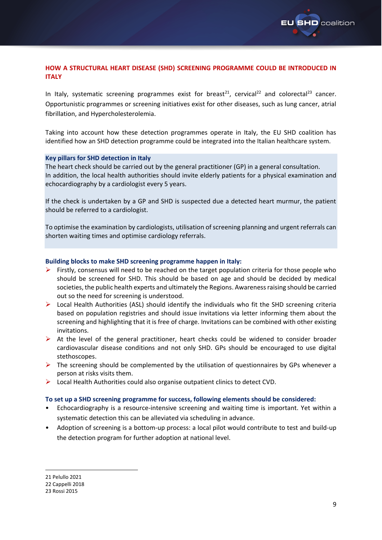

# **HOW A STRUCTURAL HEART DISEASE (SHD) SCREENING PROGRAMME COULD BE INTRODUCED IN ITALY**

In Italy, systematic screening programmes exist for breast<sup>21</sup>, cervical<sup>22</sup> and colorectal<sup>23</sup> cancer. Opportunistic programmes or screening initiatives exist for other diseases, such as lung cancer, atrial fibrillation, and Hypercholesterolemia.

Taking into account how these detection programmes operate in Italy, the EU SHD coalition has identified how an SHD detection programme could be integrated into the Italian healthcare system.

#### **Key pillars for SHD detection in Italy**

The heart check should be carried out by the general practitioner (GP) in a general consultation. In addition, the local health authorities should invite elderly patients for a physical examination and echocardiography by a cardiologist every 5 years.

If the check is undertaken by a GP and SHD is suspected due a detected heart murmur, the patient should be referred to a cardiologist.

To optimise the examination by cardiologists, utilisation of screening planning and urgent referrals can shorten waiting times and optimise cardiology referrals.

#### **Building blocks to make SHD screening programme happen in Italy:**

- $\triangleright$  Firstly, consensus will need to be reached on the target population criteria for those people who should be screened for SHD. This should be based on age and should be decided by medical societies, the public health experts and ultimately the Regions. Awareness raising should be carried out so the need for screening is understood.
- ➢ Local Health Authorities (ASL) should identify the individuals who fit the SHD screening criteria based on population registries and should issue invitations via letter informing them about the screening and highlighting that it is free of charge. Invitations can be combined with other existing invitations.
- $\triangleright$  At the level of the general practitioner, heart checks could be widened to consider broader cardiovascular disease conditions and not only SHD. GPs should be encouraged to use digital stethoscopes.
- $\triangleright$  The screening should be complemented by the utilisation of questionnaires by GPs whenever a person at risks visits them.
- ➢ Local Health Authorities could also organise outpatient clinics to detect CVD.

#### **To set up a SHD screening programme for success, following elements should be considered:**

- Echocardiography is a resource-intensive screening and waiting time is important. Yet within a systematic detection this can be alleviated via scheduling in advance.
- Adoption of screening is a bottom-up process: a local pilot would contribute to test and build-up the detection program for further adoption at national level.

<sup>21</sup> Pelullo 2021

<sup>22</sup> Cappelli 2018

<sup>23</sup> Rossi 2015